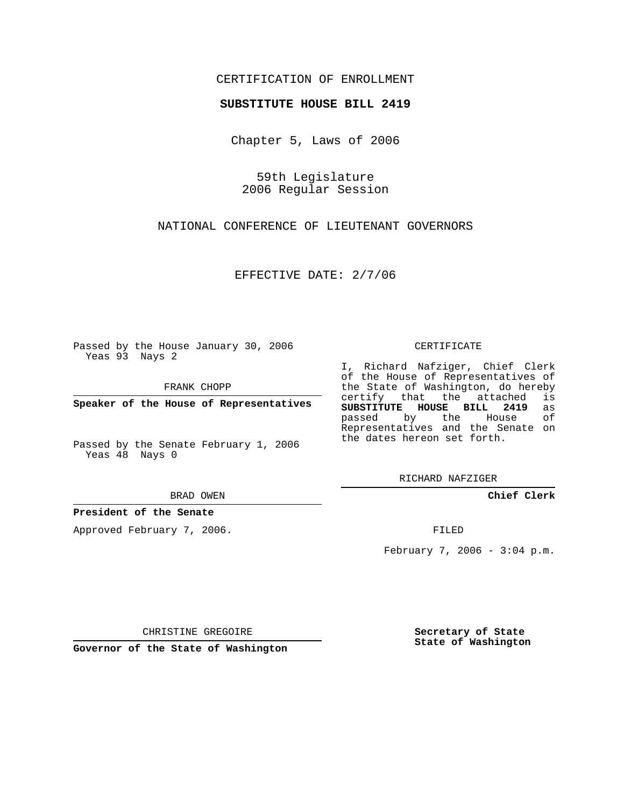## CERTIFICATION OF ENROLLMENT

### **SUBSTITUTE HOUSE BILL 2419**

Chapter 5, Laws of 2006

59th Legislature 2006 Regular Session

NATIONAL CONFERENCE OF LIEUTENANT GOVERNORS

EFFECTIVE DATE: 2/7/06

Passed by the House January 30, 2006 Yeas 93 Nays 2

FRANK CHOPP

**Speaker of the House of Representatives**

Passed by the Senate February 1, 2006 Yeas 48 Nays 0

BRAD OWEN

**President of the Senate**

Approved February 7, 2006.

#### CERTIFICATE

I, Richard Nafziger, Chief Clerk of the House of Representatives of the State of Washington, do hereby<br>certify that the attached is certify that the attached **SUBSTITUTE HOUSE BILL 2419** as passed by the Representatives and the Senate on the dates hereon set forth.

RICHARD NAFZIGER

**Chief Clerk**

FILED

February 7, 2006 - 3:04 p.m.

CHRISTINE GREGOIRE

**Governor of the State of Washington**

**Secretary of State State of Washington**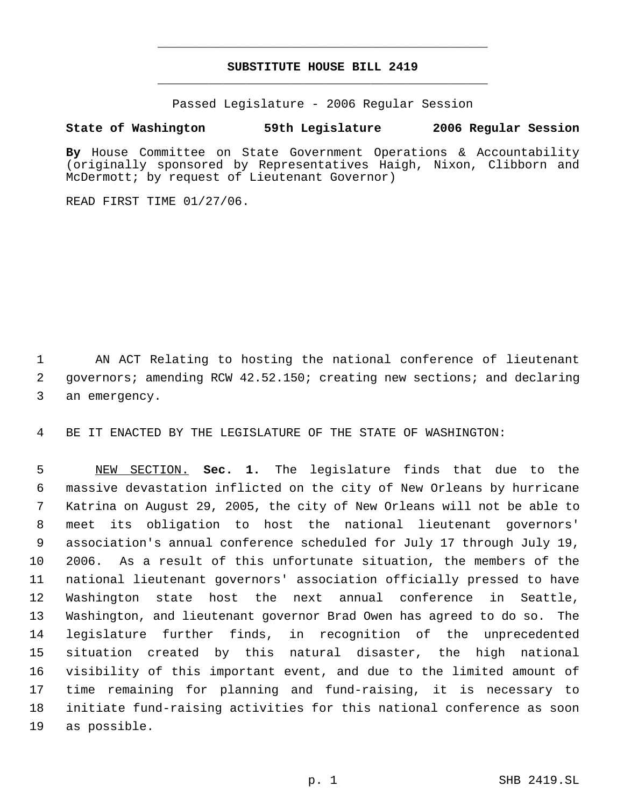# **SUBSTITUTE HOUSE BILL 2419** \_\_\_\_\_\_\_\_\_\_\_\_\_\_\_\_\_\_\_\_\_\_\_\_\_\_\_\_\_\_\_\_\_\_\_\_\_\_\_\_\_\_\_\_\_

\_\_\_\_\_\_\_\_\_\_\_\_\_\_\_\_\_\_\_\_\_\_\_\_\_\_\_\_\_\_\_\_\_\_\_\_\_\_\_\_\_\_\_\_\_

Passed Legislature - 2006 Regular Session

### **State of Washington 59th Legislature 2006 Regular Session**

**By** House Committee on State Government Operations & Accountability (originally sponsored by Representatives Haigh, Nixon, Clibborn and McDermott; by request of Lieutenant Governor)

READ FIRST TIME 01/27/06.

 AN ACT Relating to hosting the national conference of lieutenant governors; amending RCW 42.52.150; creating new sections; and declaring an emergency.

BE IT ENACTED BY THE LEGISLATURE OF THE STATE OF WASHINGTON:

 NEW SECTION. **Sec. 1.** The legislature finds that due to the massive devastation inflicted on the city of New Orleans by hurricane Katrina on August 29, 2005, the city of New Orleans will not be able to meet its obligation to host the national lieutenant governors' association's annual conference scheduled for July 17 through July 19, 2006. As a result of this unfortunate situation, the members of the national lieutenant governors' association officially pressed to have Washington state host the next annual conference in Seattle, Washington, and lieutenant governor Brad Owen has agreed to do so. The legislature further finds, in recognition of the unprecedented situation created by this natural disaster, the high national visibility of this important event, and due to the limited amount of time remaining for planning and fund-raising, it is necessary to initiate fund-raising activities for this national conference as soon as possible.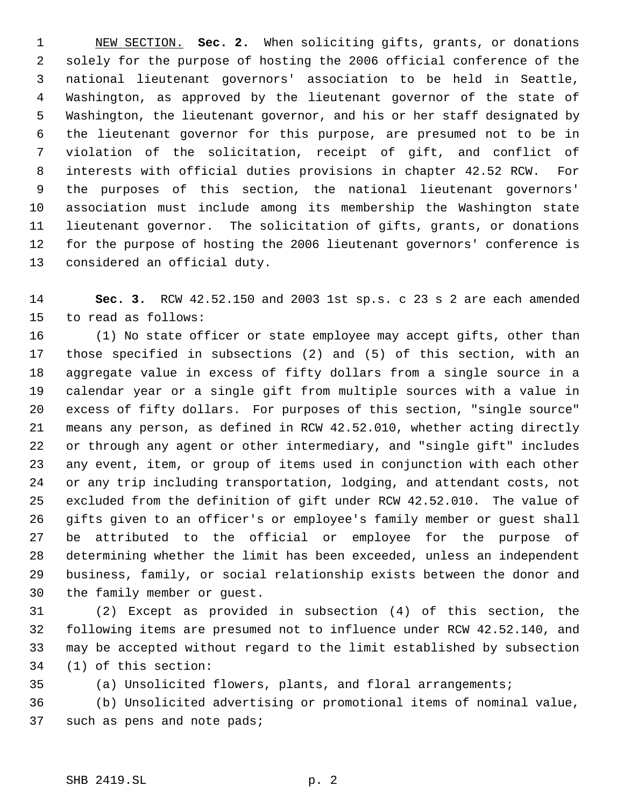NEW SECTION. **Sec. 2.** When soliciting gifts, grants, or donations solely for the purpose of hosting the 2006 official conference of the national lieutenant governors' association to be held in Seattle, Washington, as approved by the lieutenant governor of the state of Washington, the lieutenant governor, and his or her staff designated by the lieutenant governor for this purpose, are presumed not to be in violation of the solicitation, receipt of gift, and conflict of interests with official duties provisions in chapter 42.52 RCW. For the purposes of this section, the national lieutenant governors' association must include among its membership the Washington state lieutenant governor. The solicitation of gifts, grants, or donations for the purpose of hosting the 2006 lieutenant governors' conference is considered an official duty.

 **Sec. 3.** RCW 42.52.150 and 2003 1st sp.s. c 23 s 2 are each amended to read as follows:

 (1) No state officer or state employee may accept gifts, other than those specified in subsections (2) and (5) of this section, with an aggregate value in excess of fifty dollars from a single source in a calendar year or a single gift from multiple sources with a value in excess of fifty dollars. For purposes of this section, "single source" means any person, as defined in RCW 42.52.010, whether acting directly or through any agent or other intermediary, and "single gift" includes any event, item, or group of items used in conjunction with each other or any trip including transportation, lodging, and attendant costs, not excluded from the definition of gift under RCW 42.52.010. The value of gifts given to an officer's or employee's family member or guest shall be attributed to the official or employee for the purpose of determining whether the limit has been exceeded, unless an independent business, family, or social relationship exists between the donor and the family member or guest.

 (2) Except as provided in subsection (4) of this section, the following items are presumed not to influence under RCW 42.52.140, and may be accepted without regard to the limit established by subsection (1) of this section:

(a) Unsolicited flowers, plants, and floral arrangements;

 (b) Unsolicited advertising or promotional items of nominal value, such as pens and note pads;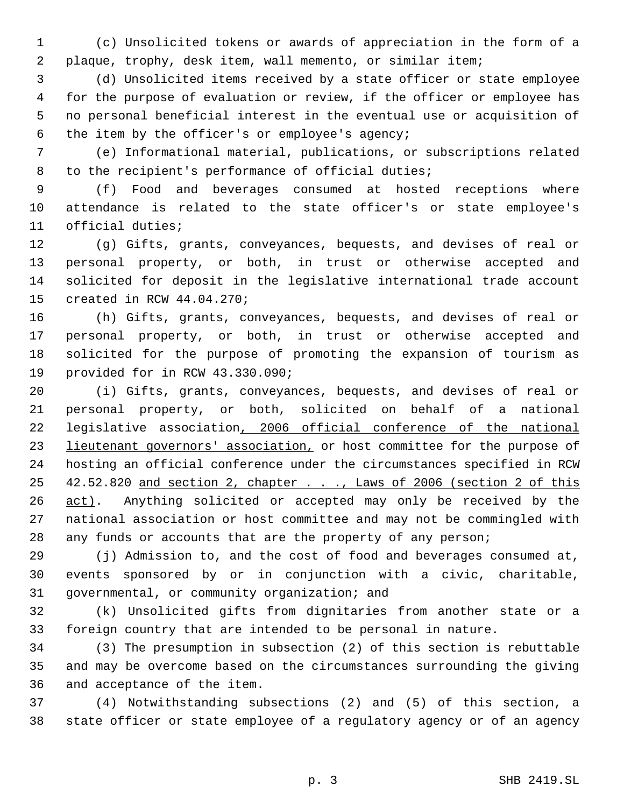(c) Unsolicited tokens or awards of appreciation in the form of a plaque, trophy, desk item, wall memento, or similar item;

 (d) Unsolicited items received by a state officer or state employee for the purpose of evaluation or review, if the officer or employee has no personal beneficial interest in the eventual use or acquisition of the item by the officer's or employee's agency;

 (e) Informational material, publications, or subscriptions related to the recipient's performance of official duties;

 (f) Food and beverages consumed at hosted receptions where attendance is related to the state officer's or state employee's official duties;

 (g) Gifts, grants, conveyances, bequests, and devises of real or personal property, or both, in trust or otherwise accepted and solicited for deposit in the legislative international trade account created in RCW 44.04.270;

 (h) Gifts, grants, conveyances, bequests, and devises of real or personal property, or both, in trust or otherwise accepted and solicited for the purpose of promoting the expansion of tourism as provided for in RCW 43.330.090;

 (i) Gifts, grants, conveyances, bequests, and devises of real or personal property, or both, solicited on behalf of a national legislative association, 2006 official conference of the national 23 lieutenant governors' association, or host committee for the purpose of hosting an official conference under the circumstances specified in RCW 42.52.820 and section 2, chapter . . ., Laws of 2006 (section 2 of this 26 act). Anything solicited or accepted may only be received by the national association or host committee and may not be commingled with 28 any funds or accounts that are the property of any person;

 (j) Admission to, and the cost of food and beverages consumed at, events sponsored by or in conjunction with a civic, charitable, governmental, or community organization; and

 (k) Unsolicited gifts from dignitaries from another state or a foreign country that are intended to be personal in nature.

 (3) The presumption in subsection (2) of this section is rebuttable and may be overcome based on the circumstances surrounding the giving and acceptance of the item.

 (4) Notwithstanding subsections (2) and (5) of this section, a state officer or state employee of a regulatory agency or of an agency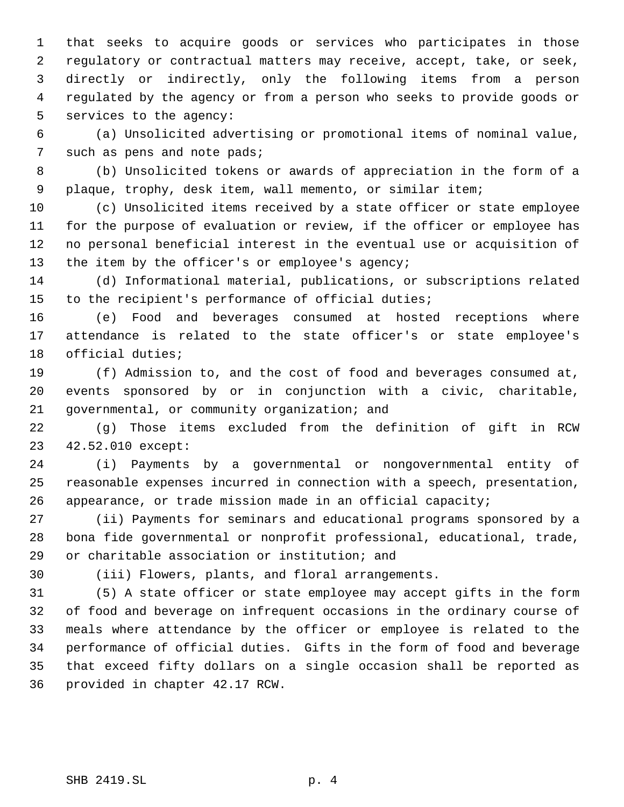that seeks to acquire goods or services who participates in those regulatory or contractual matters may receive, accept, take, or seek, directly or indirectly, only the following items from a person regulated by the agency or from a person who seeks to provide goods or services to the agency:

 (a) Unsolicited advertising or promotional items of nominal value, 7 such as pens and note pads;

 (b) Unsolicited tokens or awards of appreciation in the form of a plaque, trophy, desk item, wall memento, or similar item;

 (c) Unsolicited items received by a state officer or state employee for the purpose of evaluation or review, if the officer or employee has no personal beneficial interest in the eventual use or acquisition of 13 the item by the officer's or employee's agency;

 (d) Informational material, publications, or subscriptions related to the recipient's performance of official duties;

 (e) Food and beverages consumed at hosted receptions where attendance is related to the state officer's or state employee's official duties;

 (f) Admission to, and the cost of food and beverages consumed at, events sponsored by or in conjunction with a civic, charitable, governmental, or community organization; and

 (g) Those items excluded from the definition of gift in RCW 42.52.010 except:

 (i) Payments by a governmental or nongovernmental entity of reasonable expenses incurred in connection with a speech, presentation, appearance, or trade mission made in an official capacity;

 (ii) Payments for seminars and educational programs sponsored by a bona fide governmental or nonprofit professional, educational, trade, or charitable association or institution; and

(iii) Flowers, plants, and floral arrangements.

 (5) A state officer or state employee may accept gifts in the form of food and beverage on infrequent occasions in the ordinary course of meals where attendance by the officer or employee is related to the performance of official duties. Gifts in the form of food and beverage that exceed fifty dollars on a single occasion shall be reported as provided in chapter 42.17 RCW.